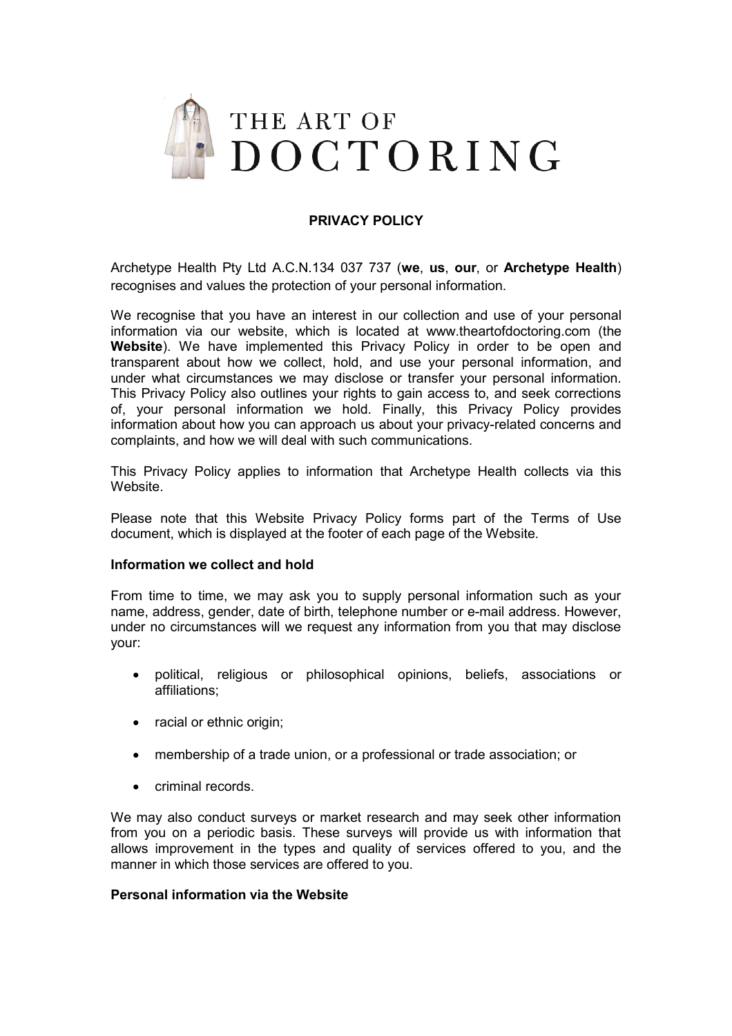

# **PRIVACY POLICY**

Archetype Health Pty Ltd A.C.N.134 037 737 (**we**, **us**, **our**, or **Archetype Health**) recognises and values the protection of your personal information.

We recognise that you have an interest in our collection and use of your personal information via our website, which is located at www.theartofdoctoring.com (the **Website**). We have implemented this Privacy Policy in order to be open and transparent about how we collect, hold, and use your personal information, and under what circumstances we may disclose or transfer your personal information. This Privacy Policy also outlines your rights to gain access to, and seek corrections of, your personal information we hold. Finally, this Privacy Policy provides information about how you can approach us about your privacy-related concerns and complaints, and how we will deal with such communications.

This Privacy Policy applies to information that Archetype Health collects via this Website.

Please note that this Website Privacy Policy forms part of the Terms of Use document, which is displayed at the footer of each page of the Website.

#### **Information we collect and hold**

From time to time, we may ask you to supply personal information such as your name, address, gender, date of birth, telephone number or e-mail address. However, under no circumstances will we request any information from you that may disclose your:

- x political, religious or philosophical opinions, beliefs, associations or affiliations;
- $\bullet$  racial or ethnic origin;
- membership of a trade union, or a professional or trade association; or
- criminal records.

We may also conduct surveys or market research and may seek other information from you on a periodic basis. These surveys will provide us with information that allows improvement in the types and quality of services offered to you, and the manner in which those services are offered to you.

#### **Personal information via the Website**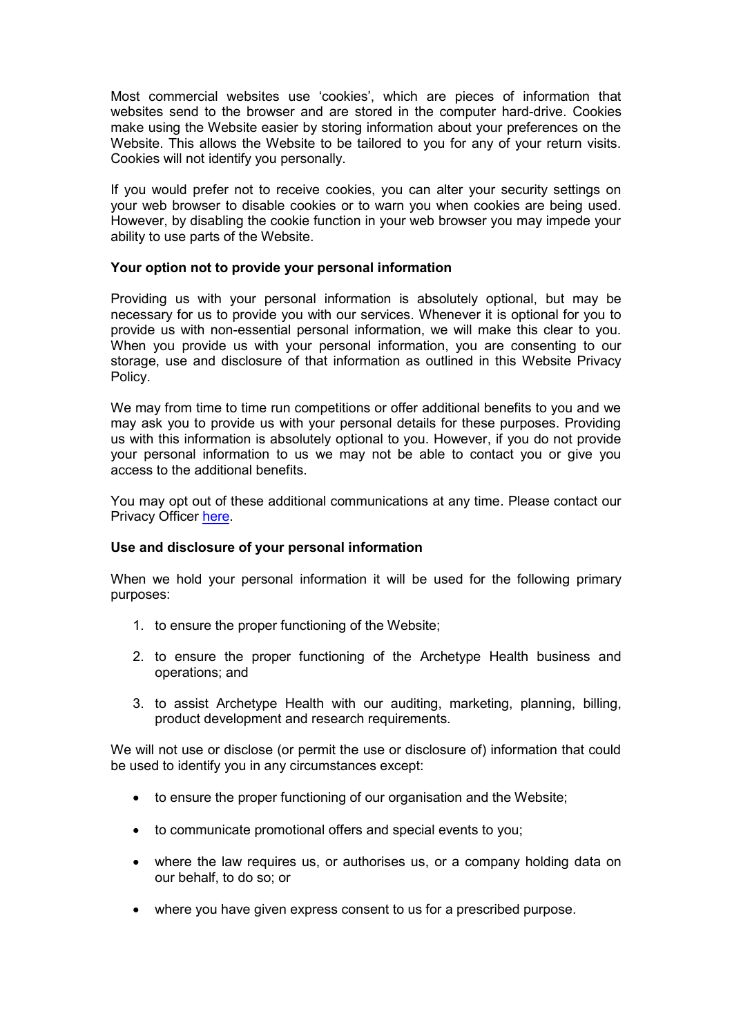Most commercial websites use 'cookies', which are pieces of information that websites send to the browser and are stored in the computer hard-drive. Cookies make using the Website easier by storing information about your preferences on the Website. This allows the Website to be tailored to you for any of your return visits. Cookies will not identify you personally.

If you would prefer not to receive cookies, you can alter your security settings on your web browser to disable cookies or to warn you when cookies are being used. However, by disabling the cookie function in your web browser you may impede your ability to use parts of the Website.

## **Your option not to provide your personal information**

Providing us with your personal information is absolutely optional, but may be necessary for us to provide you with our services. Whenever it is optional for you to provide us with non-essential personal information, we will make this clear to you. When you provide us with your personal information, you are consenting to our storage, use and disclosure of that information as outlined in this Website Privacy Policy.

We may from time to time run competitions or offer additional benefits to you and we may ask you to provide us with your personal details for these purposes. Providing us with this information is absolutely optional to you. However, if you do not provide your personal information to us we may not be able to contact you or give you access to the additional benefits.

You may opt out of these additional communications at any time. Please contact our Privacy Officer [here.](https://theartofdoctoring.com/contact/)

## **Use and disclosure of your personal information**

When we hold your personal information it will be used for the following primary purposes:

- 1. to ensure the proper functioning of the Website;
- 2. to ensure the proper functioning of the Archetype Health business and operations; and
- 3. to assist Archetype Health with our auditing, marketing, planning, billing, product development and research requirements.

We will not use or disclose (or permit the use or disclosure of) information that could be used to identify you in any circumstances except:

- to ensure the proper functioning of our organisation and the Website;
- to communicate promotional offers and special events to you;
- where the law requires us, or authorises us, or a company holding data on our behalf, to do so; or
- where you have given express consent to us for a prescribed purpose.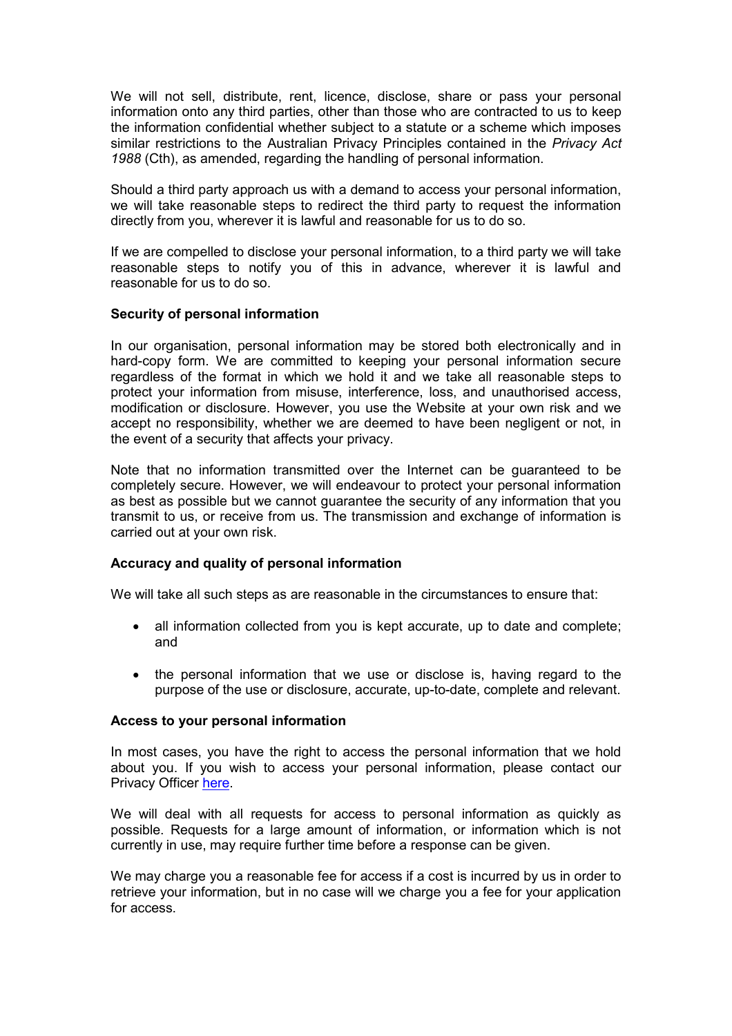We will not sell, distribute, rent, licence, disclose, share or pass your personal information onto any third parties, other than those who are contracted to us to keep the information confidential whether subject to a statute or a scheme which imposes similar restrictions to the Australian Privacy Principles contained in the *Privacy Act 1988* (Cth), as amended, regarding the handling of personal information.

Should a third party approach us with a demand to access your personal information, we will take reasonable steps to redirect the third party to request the information directly from you, wherever it is lawful and reasonable for us to do so.

If we are compelled to disclose your personal information, to a third party we will take reasonable steps to notify you of this in advance, wherever it is lawful and reasonable for us to do so.

## **Security of personal information**

In our organisation, personal information may be stored both electronically and in hard-copy form. We are committed to keeping your personal information secure regardless of the format in which we hold it and we take all reasonable steps to protect your information from misuse, interference, loss, and unauthorised access, modification or disclosure. However, you use the Website at your own risk and we accept no responsibility, whether we are deemed to have been negligent or not, in the event of a security that affects your privacy.

Note that no information transmitted over the Internet can be guaranteed to be completely secure. However, we will endeavour to protect your personal information as best as possible but we cannot guarantee the security of any information that you transmit to us, or receive from us. The transmission and exchange of information is carried out at your own risk.

#### **Accuracy and quality of personal information**

We will take all such steps as are reasonable in the circumstances to ensure that:

- all information collected from you is kept accurate, up to date and complete; and
- the personal information that we use or disclose is, having regard to the purpose of the use or disclosure, accurate, up-to-date, complete and relevant.

#### **Access to your personal information**

In most cases, you have the right to access the personal information that we hold about you. If you wish to access your personal information, please contact our Privacy Officer [here.](https://theartofdoctoring.com/contact/)

We will deal with all requests for access to personal information as quickly as possible. Requests for a large amount of information, or information which is not currently in use, may require further time before a response can be given.

We may charge you a reasonable fee for access if a cost is incurred by us in order to retrieve your information, but in no case will we charge you a fee for your application for access.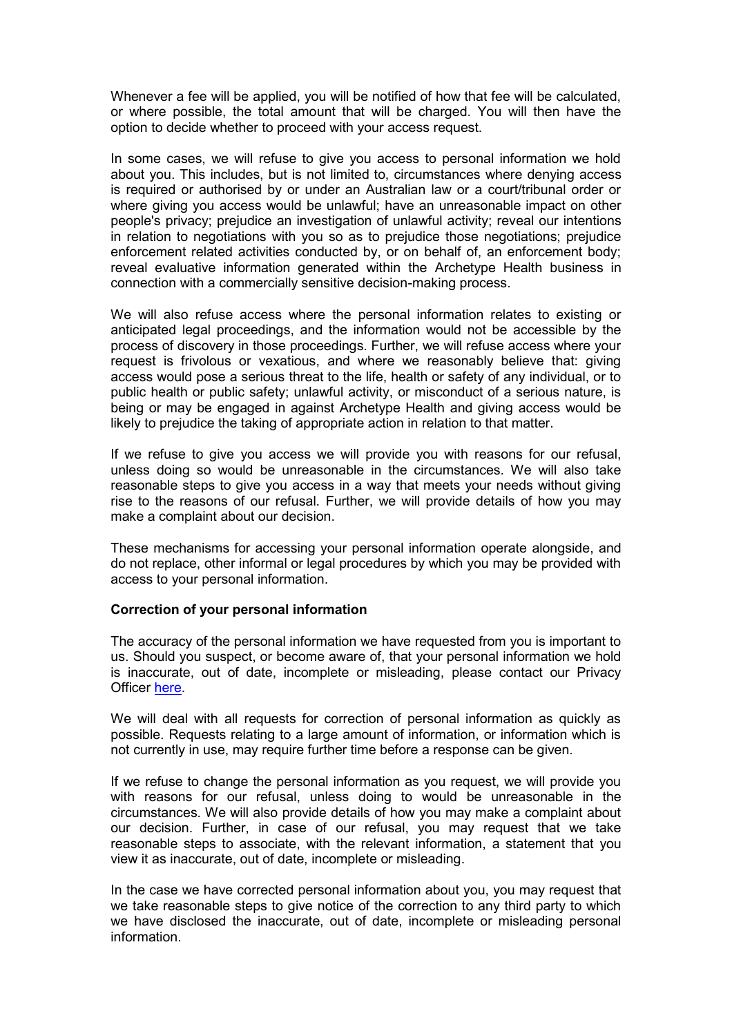Whenever a fee will be applied, you will be notified of how that fee will be calculated, or where possible, the total amount that will be charged. You will then have the option to decide whether to proceed with your access request.

In some cases, we will refuse to give you access to personal information we hold about you. This includes, but is not limited to, circumstances where denying access is required or authorised by or under an Australian law or a court/tribunal order or where giving you access would be unlawful; have an unreasonable impact on other people's privacy; prejudice an investigation of unlawful activity; reveal our intentions in relation to negotiations with you so as to prejudice those negotiations; prejudice enforcement related activities conducted by, or on behalf of, an enforcement body; reveal evaluative information generated within the Archetype Health business in connection with a commercially sensitive decision-making process.

We will also refuse access where the personal information relates to existing or anticipated legal proceedings, and the information would not be accessible by the process of discovery in those proceedings. Further, we will refuse access where your request is frivolous or vexatious, and where we reasonably believe that: giving access would pose a serious threat to the life, health or safety of any individual, or to public health or public safety; unlawful activity, or misconduct of a serious nature, is being or may be engaged in against Archetype Health and giving access would be likely to prejudice the taking of appropriate action in relation to that matter.

If we refuse to give you access we will provide you with reasons for our refusal, unless doing so would be unreasonable in the circumstances. We will also take reasonable steps to give you access in a way that meets your needs without giving rise to the reasons of our refusal. Further, we will provide details of how you may make a complaint about our decision.

These mechanisms for accessing your personal information operate alongside, and do not replace, other informal or legal procedures by which you may be provided with access to your personal information.

#### **Correction of your personal information**

The accuracy of the personal information we have requested from you is important to us. Should you suspect, or become aware of, that your personal information we hold is inaccurate, out of date, incomplete or misleading, please contact our Privacy Officer here

We will deal with all requests for correction of personal information as quickly as possible. Requests relating to a large amount of information, or information which is not currently in use, may require further time before a response can be given.

If we refuse to change the personal information as you request, we will provide you with reasons for our refusal, unless doing to would be unreasonable in the circumstances. We will also provide details of how you may make a complaint about our decision. Further, in case of our refusal, you may request that we take reasonable steps to associate, with the relevant information, a statement that you view it as inaccurate, out of date, incomplete or misleading.

In the case we have corrected personal information about you, you may request that we take reasonable steps to give notice of the correction to any third party to which we have disclosed the inaccurate, out of date, incomplete or misleading personal information.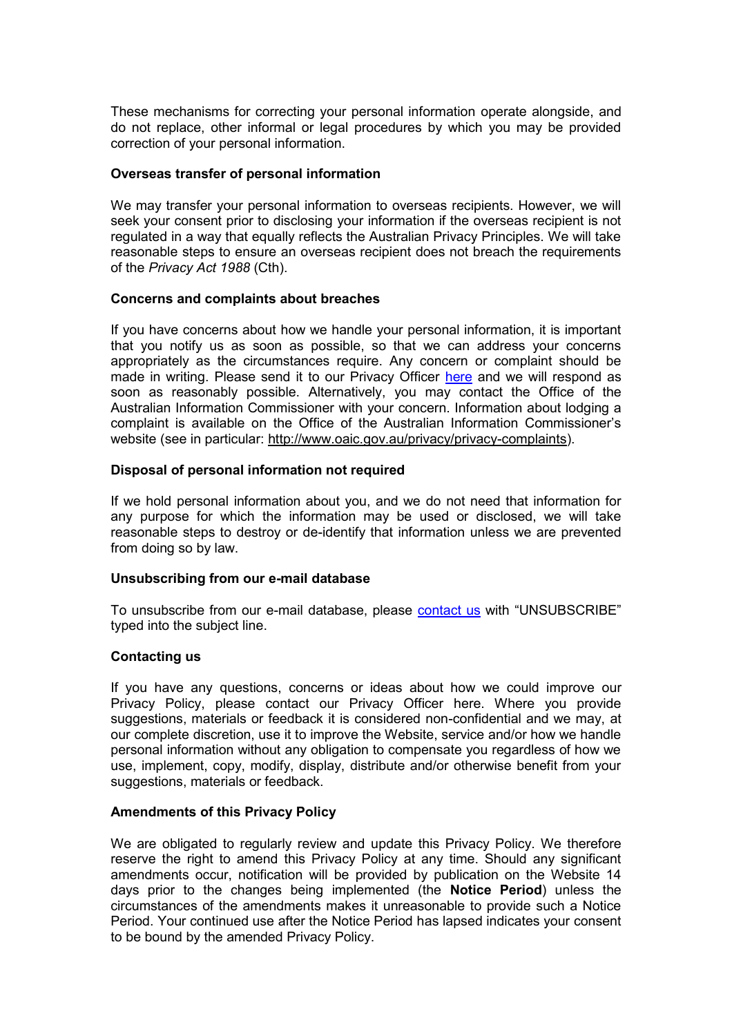These mechanisms for correcting your personal information operate alongside, and do not replace, other informal or legal procedures by which you may be provided correction of your personal information.

#### **Overseas transfer of personal information**

We may transfer your personal information to overseas recipients. However, we will seek your consent prior to disclosing your information if the overseas recipient is not regulated in a way that equally reflects the Australian Privacy Principles. We will take reasonable steps to ensure an overseas recipient does not breach the requirements of the *Privacy Act 1988* (Cth).

## **Concerns and complaints about breaches**

If you have concerns about how we handle your personal information, it is important that you notify us as soon as possible, so that we can address your concerns appropriately as the circumstances require. Any concern or complaint should be made in writing. Please send it to our Privacy Officer [here](https://theartofdoctoring.com/contact/) and we will respond as soon as reasonably possible. Alternatively, you may contact the Office of the Australian Information Commissioner with your concern. Information about lodging a complaint is available on the Office of the Australian Information Commissioner's website (see in particular: [http://www.oaic.gov.au/privacy/privacy-complaints\)](http://www.oaic.gov.au/privacy/privacy-complaints).

## **Disposal of personal information not required**

If we hold personal information about you, and we do not need that information for any purpose for which the information may be used or disclosed, we will take reasonable steps to destroy or de-identify that information unless we are prevented from doing so by law.

#### **Unsubscribing from our e-mail database**

To unsubscribe from our e-mail database, please [contact us](https://theartofdoctoring.com/contact/) with "UNSUBSCRIBE" typed into the subject line.

#### **Contacting us**

If you have any questions, concerns or ideas about how we could improve our Privacy Policy, please contact our Privacy Officer here. Where you provide suggestions, materials or feedback it is considered non-confidential and we may, at our complete discretion, use it to improve the Website, service and/or how we handle personal information without any obligation to compensate you regardless of how we use, implement, copy, modify, display, distribute and/or otherwise benefit from your suggestions, materials or feedback.

#### **Amendments of this Privacy Policy**

We are obligated to regularly review and update this Privacy Policy. We therefore reserve the right to amend this Privacy Policy at any time. Should any significant amendments occur, notification will be provided by publication on the Website 14 days prior to the changes being implemented (the **Notice Period**) unless the circumstances of the amendments makes it unreasonable to provide such a Notice Period. Your continued use after the Notice Period has lapsed indicates your consent to be bound by the amended Privacy Policy.